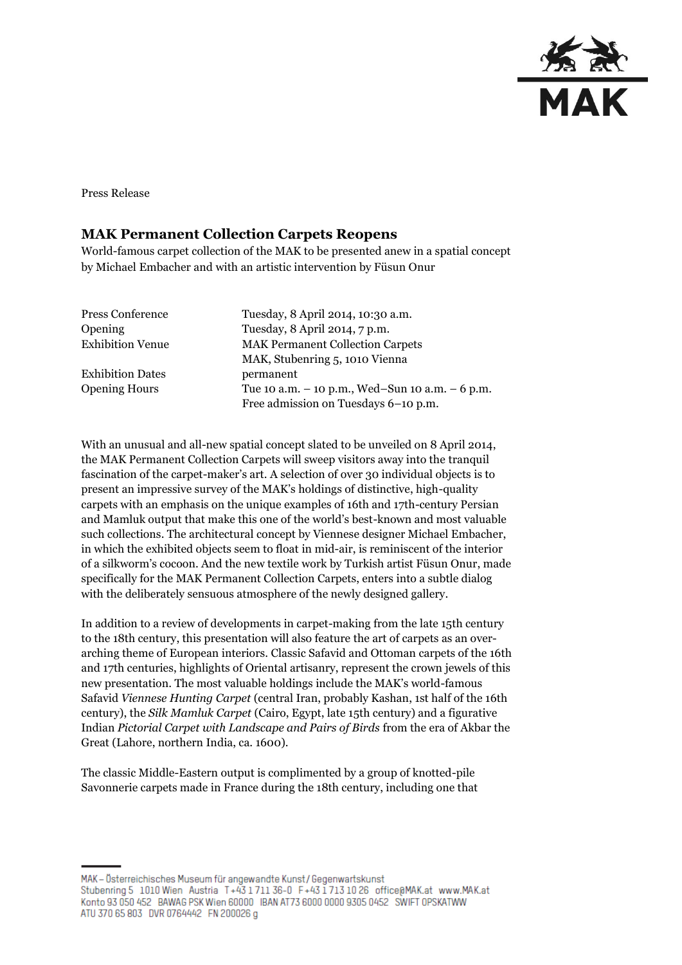

Press Release

### **MAK Permanent Collection Carpets Reopens**

World-famous carpet collection of the MAK to be presented anew in a spatial concept by Michael Embacher and with an artistic intervention by Füsun Onur

| Tuesday, 8 April 2014, 10:30 a.m.               |
|-------------------------------------------------|
| Tuesday, 8 April 2014, 7 p.m.                   |
| <b>MAK Permanent Collection Carpets</b>         |
| MAK, Stubenring 5, 1010 Vienna                  |
| permanent                                       |
| Tue 10 a.m. - 10 p.m., Wed-Sun 10 a.m. - 6 p.m. |
| Free admission on Tuesdays 6-10 p.m.            |
|                                                 |

With an unusual and all-new spatial concept slated to be unveiled on 8 April 2014, the MAK Permanent Collection Carpets will sweep visitors away into the tranquil fascination of the carpet-maker's art. A selection of over 30 individual objects is to present an impressive survey of the MAK's holdings of distinctive, high-quality carpets with an emphasis on the unique examples of 16th and 17th-century Persian and Mamluk output that make this one of the world's best-known and most valuable such collections. The architectural concept by Viennese designer Michael Embacher, in which the exhibited objects seem to float in mid-air, is reminiscent of the interior of a silkworm's cocoon. And the new textile work by Turkish artist Füsun Onur, made specifically for the MAK Permanent Collection Carpets, enters into a subtle dialog with the deliberately sensuous atmosphere of the newly designed gallery.

In addition to a review of developments in carpet-making from the late 15th century to the 18th century, this presentation will also feature the art of carpets as an overarching theme of European interiors. Classic Safavid and Ottoman carpets of the 16th and 17th centuries, highlights of Oriental artisanry, represent the crown jewels of this new presentation. The most valuable holdings include the MAK's world-famous Safavid *Viennese Hunting Carpet* (central Iran, probably Kashan, 1st half of the 16th century), the *Silk Mamluk Carpet* (Cairo, Egypt, late 15th century) and a figurative Indian *Pictorial Carpet with Landscape and Pairs of Birds* from the era of Akbar the Great (Lahore, northern India, ca. 1600).

The classic Middle-Eastern output is complimented by a group of knotted-pile Savonnerie carpets made in France during the 18th century, including one that

MAK - Österreichisches Museum für angewandte Kunst / Gegenwartskunst Stubenring 5 1010 Wien Austria T+43 1711 36-0 F+43 1713 10 26 office@MAK.at www.MAK.at Konto 93 050 452 BAWAG PSK Wien 60000 BAN AT73 6000 0000 9305 0452 SWIFT OPSKATWW ATU 370 65 803 DVR 0764442 FN 200026 g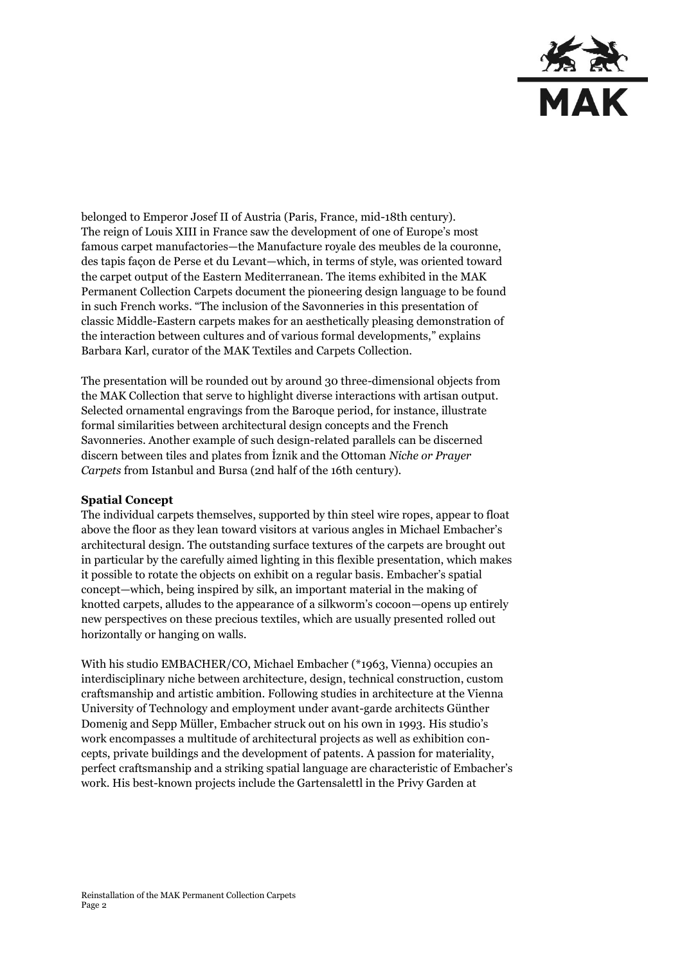

belonged to Emperor Josef II of Austria (Paris, France, mid-18th century). The reign of Louis XIII in France saw the development of one of Europe's most famous carpet manufactories—the Manufacture royale des meubles de la couronne, des tapis façon de Perse et du Levant—which, in terms of style, was oriented toward the carpet output of the Eastern Mediterranean. The items exhibited in the MAK Permanent Collection Carpets document the pioneering design language to be found in such French works. "The inclusion of the Savonneries in this presentation of classic Middle-Eastern carpets makes for an aesthetically pleasing demonstration of the interaction between cultures and of various formal developments," explains Barbara Karl, curator of the MAK Textiles and Carpets Collection.

The presentation will be rounded out by around 30 three-dimensional objects from the MAK Collection that serve to highlight diverse interactions with artisan output. Selected ornamental engravings from the Baroque period, for instance, illustrate formal similarities between architectural design concepts and the French Savonneries. Another example of such design-related parallels can be discerned discern between tiles and plates from İznik and the Ottoman *Niche or Prayer Carpets* from Istanbul and Bursa (2nd half of the 16th century).

#### **Spatial Concept**

The individual carpets themselves, supported by thin steel wire ropes, appear to float above the floor as they lean toward visitors at various angles in Michael Embacher's architectural design. The outstanding surface textures of the carpets are brought out in particular by the carefully aimed lighting in this flexible presentation, which makes it possible to rotate the objects on exhibit on a regular basis. Embacher's spatial concept—which, being inspired by silk, an important material in the making of knotted carpets, alludes to the appearance of a silkworm's cocoon—opens up entirely new perspectives on these precious textiles, which are usually presented rolled out horizontally or hanging on walls.

With his studio EMBACHER/CO, Michael Embacher (\*1963, Vienna) occupies an interdisciplinary niche between architecture, design, technical construction, custom craftsmanship and artistic ambition. Following studies in architecture at the Vienna University of Technology and employment under avant-garde architects Günther Domenig and Sepp Müller, Embacher struck out on his own in 1993. His studio's work encompasses a multitude of architectural projects as well as exhibition concepts, private buildings and the development of patents. A passion for materiality, perfect craftsmanship and a striking spatial language are characteristic of Embacher's work. His best-known projects include the Gartensalettl in the Privy Garden at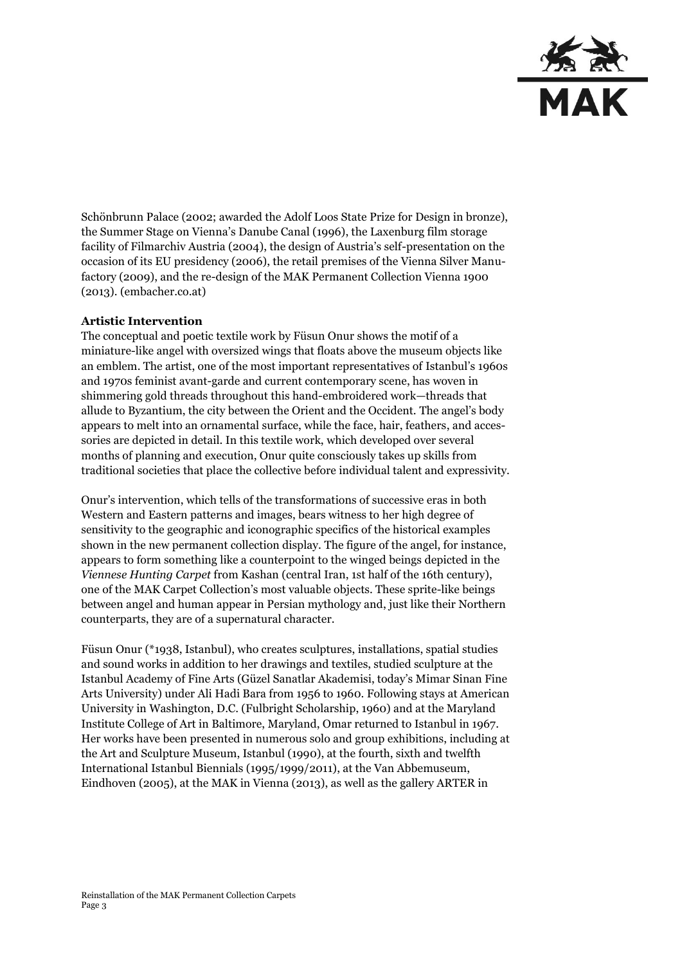

Schönbrunn Palace (2002; awarded the Adolf Loos State Prize for Design in bronze), the Summer Stage on Vienna's Danube Canal (1996), the Laxenburg film storage facility of Filmarchiv Austria (2004), the design of Austria's self-presentation on the occasion of its EU presidency (2006), the retail premises of the Vienna Silver Manufactory (2009), and the re-design of the MAK Permanent Collection Vienna 1900 (2013). [\(embacher.co.at\)](http://www.embacher.co.at/)

### **Artistic Intervention**

The conceptual and poetic textile work by Füsun Onur shows the motif of a miniature-like angel with oversized wings that floats above the museum objects like an emblem. The artist, one of the most important representatives of Istanbul's 1960s and 1970s feminist avant-garde and current contemporary scene, has woven in shimmering gold threads throughout this hand-embroidered work—threads that allude to Byzantium, the city between the Orient and the Occident. The angel's body appears to melt into an ornamental surface, while the face, hair, feathers, and accessories are depicted in detail. In this textile work, which developed over several months of planning and execution, Onur quite consciously takes up skills from traditional societies that place the collective before individual talent and expressivity.

Onur's intervention, which tells of the transformations of successive eras in both Western and Eastern patterns and images, bears witness to her high degree of sensitivity to the geographic and iconographic specifics of the historical examples shown in the new permanent collection display. The figure of the angel, for instance, appears to form something like a counterpoint to the winged beings depicted in the *Viennese Hunting Carpet* from Kashan (central Iran, 1st half of the 16th century), one of the MAK Carpet Collection's most valuable objects. These sprite-like beings between angel and human appear in Persian mythology and, just like their Northern counterparts, they are of a supernatural character.

Füsun Onur (\*1938, Istanbul), who creates sculptures, installations, spatial studies and sound works in addition to her drawings and textiles, studied sculpture at the Istanbul Academy of Fine Arts (Güzel Sanatlar Akademisi, today's Mimar Sinan Fine Arts University) under Ali Hadi Bara from 1956 to 1960. Following stays at American University in Washington, D.C. (Fulbright Scholarship, 1960) and at the Maryland Institute College of Art in Baltimore, Maryland, Omar returned to Istanbul in 1967. Her works have been presented in numerous solo and group exhibitions, including at the Art and Sculpture Museum, Istanbul (1990), at the fourth, sixth and twelfth International Istanbul Biennials (1995/1999/2011), at the Van Abbemuseum, Eindhoven (2005), at the MAK in Vienna (2013), as well as the gallery ARTER in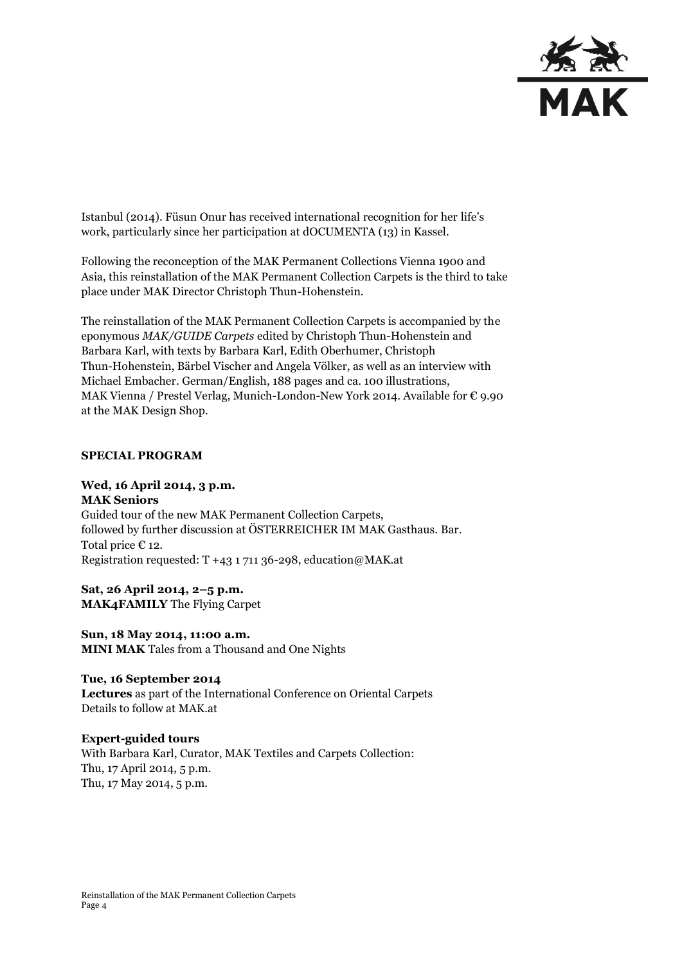

Istanbul (2014). Füsun Onur has received international recognition for her life's work, particularly since her participation at dOCUMENTA (13) in Kassel.

Following the reconception of the MAK Permanent Collections Vienna 1900 and Asia, this reinstallation of the MAK Permanent Collection Carpets is the third to take place under MAK Director Christoph Thun-Hohenstein.

The reinstallation of the MAK Permanent Collection Carpets is accompanied by the eponymous *MAK/GUIDE Carpets* edited by Christoph Thun-Hohenstein and Barbara Karl, with texts by Barbara Karl, Edith Oberhumer, Christoph Thun-Hohenstein, Bärbel Vischer and Angela Völker, as well as an interview with Michael Embacher. German/English, 188 pages and ca. 100 illustrations, MAK Vienna / Prestel Verlag, Munich-London-New York 2014. Available for € 9.90 at the MAK Design Shop.

#### **SPECIAL PROGRAM**

## **Wed, 16 April 2014, 3 p.m.**

**MAK Seniors** Guided tour of the new MAK Permanent Collection Carpets, followed by further discussion at ÖSTERREICHER IM MAK Gasthaus. Bar. Total price € 12. Registration requested: T +43 1 711 36-298, education@MAK.at

**Sat, 26 April 2014, 2–5 p.m. MAK4FAMILY** The Flying Carpet

**Sun, 18 May 2014, 11:00 a.m. MINI MAK** Tales from a Thousand and One Nights

**Tue, 16 September 2014 Lectures** as part of the International Conference on Oriental Carpets Details to follow at MAK.at

**Expert-guided tours** With Barbara Karl, Curator, MAK Textiles and Carpets Collection: Thu, 17 April 2014, 5 p.m. Thu, 17 May 2014, 5 p.m.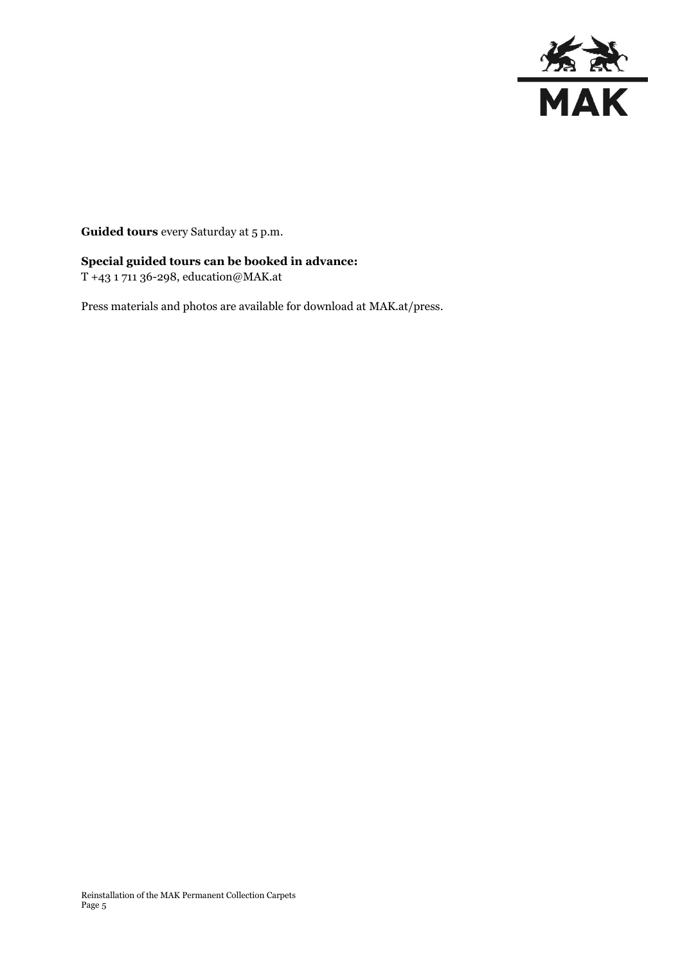

**Guided tours** every Saturday at 5 p.m.

# **Special guided tours can be booked in advance:**

T +43 1 711 36-298, education@MAK.at

Press materials and photos are available for download at MAK.at/press.